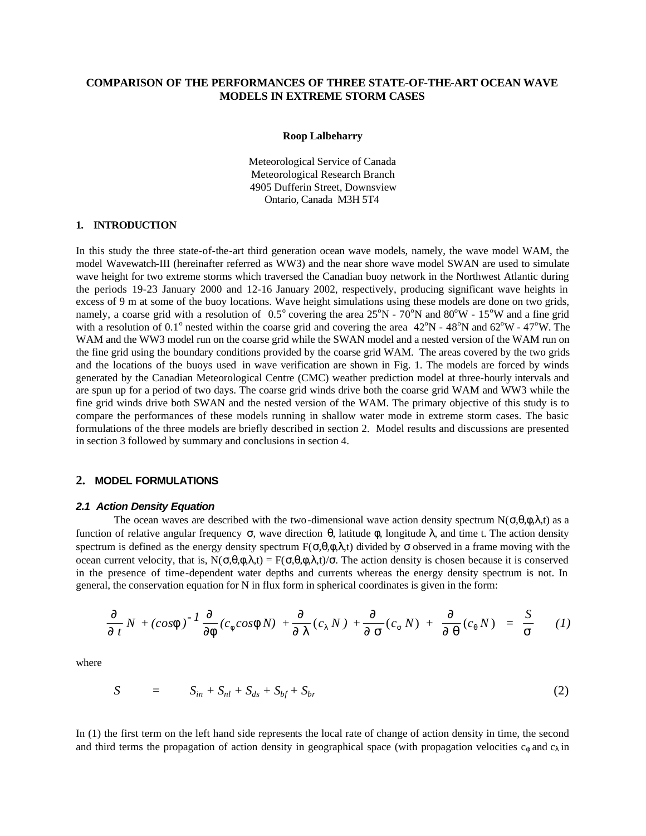# **COMPARISON OF THE PERFORMANCES OF THREE STATE-OF-THE-ART OCEAN WAVE MODELS IN EXTREME STORM CASES**

#### **Roop Lalbeharry**

Meteorological Service of Canada Meteorological Research Branch 4905 Dufferin Street, Downsview Ontario, Canada M3H 5T4

## **1. INTRODUCTION**

In this study the three state-of-the-art third generation ocean wave models, namely, the wave model WAM, the model Wavewatch-III (hereinafter referred as WW3) and the near shore wave model SWAN are used to simulate wave height for two extreme storms which traversed the Canadian buoy network in the Northwest Atlantic during the periods 19-23 January 2000 and 12-16 January 2002, respectively, producing significant wave heights in excess of 9 m at some of the buoy locations. Wave height simulations using these models are done on two grids, namely, a coarse grid with a resolution of  $0.5^{\circ}$  covering the area  $25^{\circ}N$  -  $70^{\circ}N$  and  $80^{\circ}W$  -  $15^{\circ}W$  and a fine grid with a resolution of 0.1<sup>o</sup> nested within the coarse grid and covering the area  $42^{\circ}N$  -  $48^{\circ}N$  and  $62^{\circ}W$  -  $47^{\circ}W$ . The WAM and the WW3 model run on the coarse grid while the SWAN model and a nested version of the WAM run on the fine grid using the boundary conditions provided by the coarse grid WAM. The areas covered by the two grids and the locations of the buoys used in wave verification are shown in Fig. 1. The models are forced by winds generated by the Canadian Meteorological Centre (CMC) weather prediction model at three-hourly intervals and are spun up for a period of two days. The coarse grid winds drive both the coarse grid WAM and WW3 while the fine grid winds drive both SWAN and the nested version of the WAM. The primary objective of this study is to compare the performances of these models running in shallow water mode in extreme storm cases. The basic formulations of the three models are briefly described in section 2. Model results and discussions are presented in section 3 followed by summary and conclusions in section 4.

### **2. MODEL FORMULATIONS**

#### *2.1 Action Density Equation*

The ocean waves are described with the two-dimensional wave action density spectrum  $N(\sigma,\theta,\phi,\lambda,t)$  as a function of relative angular frequency σ, wave direction θ, latitude φ, longitude λ, and time t. The action density spectrum is defined as the energy density spectrum  $F(\sigma,\theta,\phi,\lambda,t)$  divided by  $\sigma$  observed in a frame moving with the ocean current velocity, that is,  $N(\sigma, \theta, \phi, \lambda, t) = F(\sigma, \theta, \phi, \lambda, t)/\sigma$ . The action density is chosen because it is conserved in the presence of time-dependent water depths and currents whereas the energy density spectrum is not. In general, the conservation equation for N in flux form in spherical coordinates is given in the form:

$$
\frac{\mathbf{I}}{\mathbf{I}t}N + (cos\mathbf{f})^{-1}\frac{\mathbf{I}}{\mathbf{I}f}(c_f cos\mathbf{f}N) + \frac{\mathbf{I}}{\mathbf{I}l}(c_l N) + \frac{\mathbf{I}}{\mathbf{I}s}(c_s N) + \frac{\mathbf{I}}{\mathbf{I}q}(c_q N) = \frac{S}{\mathbf{S}} \qquad (1)
$$

where

$$
S = S_{in} + S_{nl} + S_{ds} + S_{bf} + S_{br} \tag{2}
$$

In (1) the first term on the left hand side represents the local rate of change of action density in time, the second and third terms the propagation of action density in geographical space (with propagation velocities  $c_{\phi}$  and  $c_{\lambda}$  in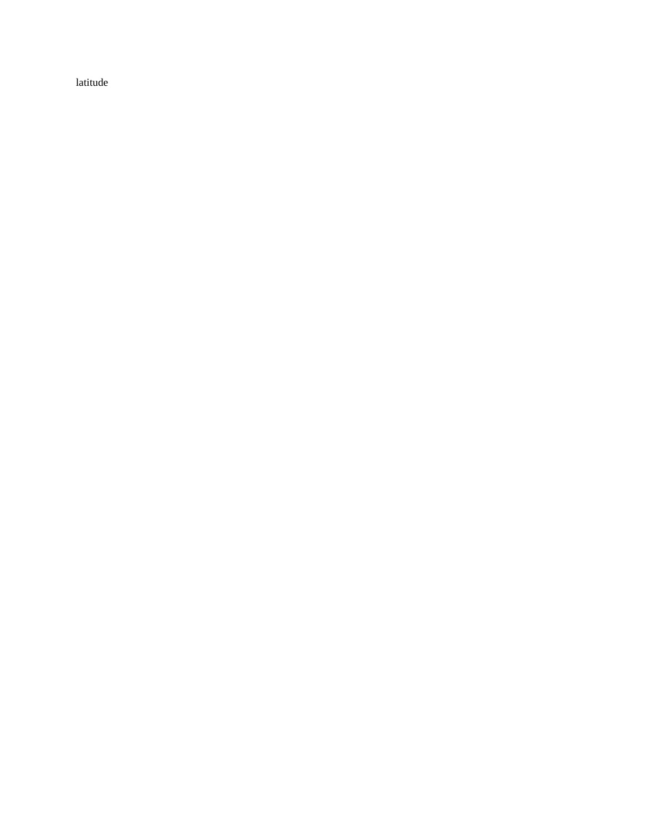latitude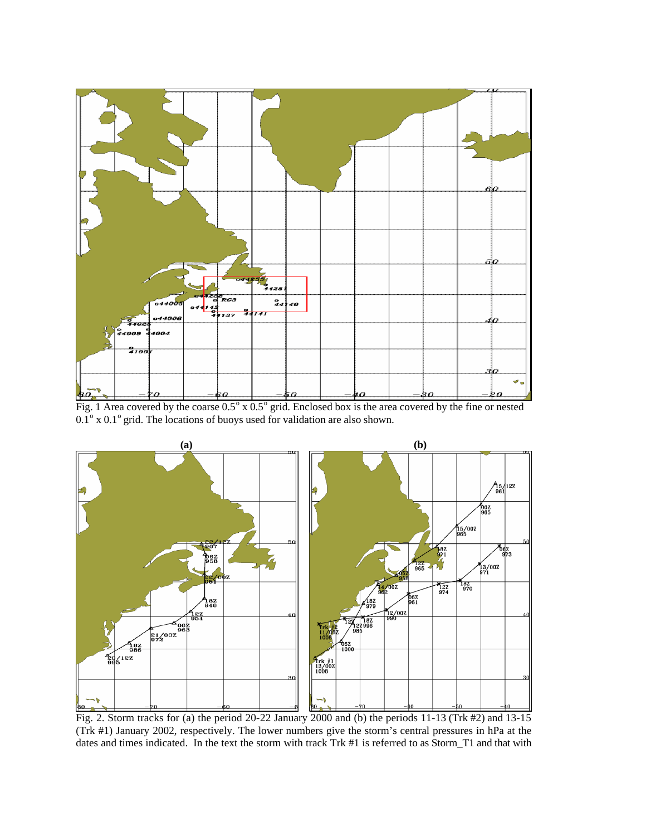

Fig. 1 Area covered by the coarse  $0.5^\circ$  x  $0.5^\circ$  grid. Enclosed box is the area covered by the fine or nested  $0.1^{\circ}$  x  $0.1^{\circ}$  grid. The locations of buoys used for validation are also shown.



Fig. 2. Storm tracks for (a) the period 20-22 January 2000 and (b) the periods 11-13 (Trk #2) and 13-15 (Trk #1) January 2002, respectively. The lower numbers give the storm's central pressures in hPa at the dates and times indicated. In the text the storm with track Trk #1 is referred to as Storm\_T1 and that with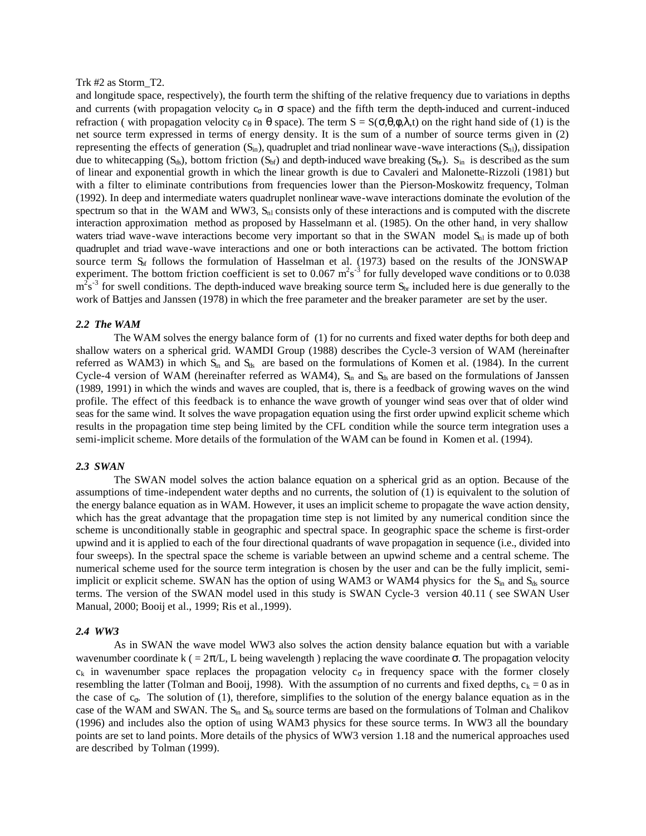#### Trk #2 as Storm\_T2.

and longitude space, respectively), the fourth term the shifting of the relative frequency due to variations in depths and currents (with propagation velocity  $c_{\sigma}$  in  $\sigma$  space) and the fifth term the depth-induced and current-induced refraction ( with propagation velocity c<sub>θ</sub> in θ space). The term  $S = S(\sigma, θ, φ, λ, t)$  on the right hand side of (1) is the net source term expressed in terms of energy density. It is the sum of a number of source terms given in (2) representing the effects of generation  $(S_{in})$ , quadruplet and triad nonlinear wave-wave interactions  $(S_{n_l})$ , dissipation due to whitecapping  $(S_{ds})$ , bottom friction  $(S_{bf})$  and depth-induced wave breaking  $(S_{br})$ .  $S_{in}$  is described as the sum of linear and exponential growth in which the linear growth is due to Cavaleri and Malonette-Rizzoli (1981) but with a filter to eliminate contributions from frequencies lower than the Pierson-Moskowitz frequency, Tolman (1992). In deep and intermediate waters quadruplet nonlinear wave-wave interactions dominate the evolution of the spectrum so that in the WAM and WW3,  $S<sub>nl</sub>$  consists only of these interactions and is computed with the discrete interaction approximation method as proposed by Hasselmann et al. (1985). On the other hand, in very shallow waters triad wave-wave interactions become very important so that in the SWAN model  $S<sub>nl</sub>$  is made up of both quadruplet and triad wave-wave interactions and one or both interactions can be activated. The bottom friction source term  $S_{\text{bf}}$  follows the formulation of Hasselman et al. (1973) based on the results of the JONSWAP experiment. The bottom friction coefficient is set to 0.067  $m^2s^{-3}$  for fully developed wave conditions or to 0.038  $m^2s^{-3}$  for swell conditions. The depth-induced wave breaking source term  $S_{br}$  included here is due generally to the work of Battjes and Janssen (1978) in which the free parameter and the breaker parameter are set by the user.

## *2.2 The WAM*

The WAM solves the energy balance form of (1) for no currents and fixed water depths for both deep and shallow waters on a spherical grid. WAMDI Group (1988) describes the Cycle-3 version of WAM (hereinafter referred as WAM3) in which  $S<sub>in</sub>$  and  $S<sub>ds</sub>$  are based on the formulations of Komen et al. (1984). In the current Cycle-4 version of WAM (hereinafter referred as WAM4),  $S<sub>in</sub>$  and  $S<sub>ds</sub>$  are based on the formulations of Janssen (1989, 1991) in which the winds and waves are coupled, that is, there is a feedback of growing waves on the wind profile. The effect of this feedback is to enhance the wave growth of younger wind seas over that of older wind seas for the same wind. It solves the wave propagation equation using the first order upwind explicit scheme which results in the propagation time step being limited by the CFL condition while the source term integration uses a semi-implicit scheme. More details of the formulation of the WAM can be found in Komen et al. (1994).

#### *2.3 SWAN*

The SWAN model solves the action balance equation on a spherical grid as an option. Because of the assumptions of time-independent water depths and no currents, the solution of (1) is equivalent to the solution of the energy balance equation as in WAM. However, it uses an implicit scheme to propagate the wave action density, which has the great advantage that the propagation time step is not limited by any numerical condition since the scheme is unconditionally stable in geographic and spectral space. In geographic space the scheme is first-order upwind and it is applied to each of the four directional quadrants of wave propagation in sequence (i.e., divided into four sweeps). In the spectral space the scheme is variable between an upwind scheme and a central scheme. The numerical scheme used for the source term integration is chosen by the user and can be the fully implicit, semiimplicit or explicit scheme. SWAN has the option of using WAM3 or WAM4 physics for the  $S_{in}$  and  $S_{ds}$  source terms. The version of the SWAN model used in this study is SWAN Cycle-3 version 40.11 ( see SWAN User Manual, 2000; Booij et al., 1999; Ris et al.,1999).

#### *2.4 WW3*

As in SWAN the wave model WW3 also solves the action density balance equation but with a variable wavenumber coordinate k ( =  $2\pi/L$ , L being wavelength ) replacing the wave coordinate  $\sigma$ . The propagation velocity  $c_k$  in wavenumber space replaces the propagation velocity  $c_{\sigma}$  in frequency space with the former closely resembling the latter (Tolman and Booij, 1998). With the assumption of no currents and fixed depths,  $c_k = 0$  as in the case of  $c_{\sigma}$ . The solution of (1), therefore, simplifies to the solution of the energy balance equation as in the case of the WAM and SWAN. The  $S_{in}$  and  $S_{ds}$  source terms are based on the formulations of Tolman and Chalikov (1996) and includes also the option of using WAM3 physics for these source terms. In WW3 all the boundary points are set to land points. More details of the physics of WW3 version 1.18 and the numerical approaches used are described by Tolman (1999).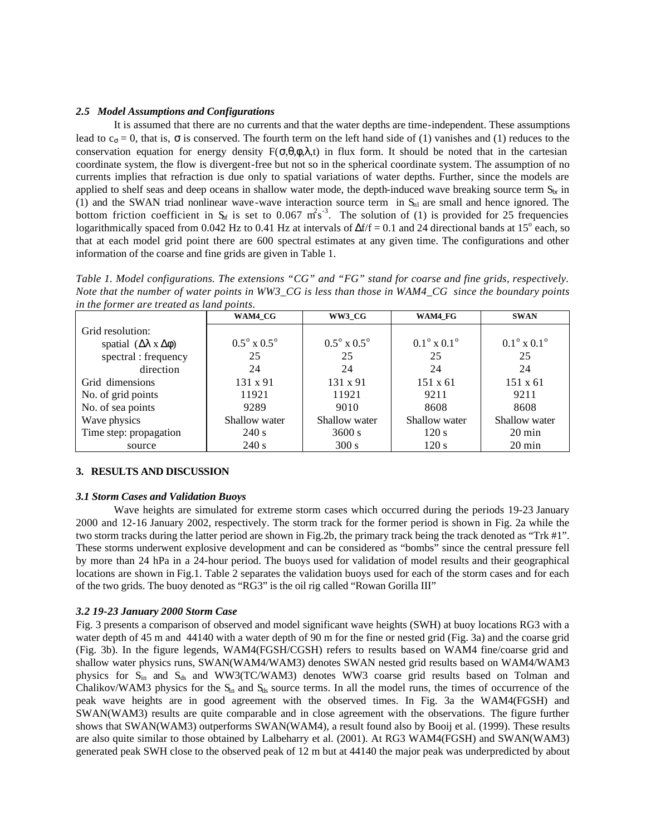## *2.5 Model Assumptions and Configurations*

It is assumed that there are no currents and that the water depths are time-independent. These assumptions lead to  $c_{\sigma} = 0$ , that is,  $\sigma$  is conserved. The fourth term on the left hand side of (1) vanishes and (1) reduces to the conservation equation for energy density  $F(\sigma,\theta,\phi,\lambda,t)$  in flux form. It should be noted that in the cartesian coordinate system, the flow is divergent-free but not so in the spherical coordinate system. The assumption of no currents implies that refraction is due only to spatial variations of water depths. Further, since the models are applied to shelf seas and deep oceans in shallow water mode, the depth-induced wave breaking source term  $S_{\rm br}$  in (1) and the SWAN triad nonlinear wave-wave interaction source term in  $S<sub>n1</sub>$  are small and hence ignored. The bottom friction coefficient in  $S_{\text{sf}}$  is set to 0.067 m<sup>2</sup>s<sup>-3</sup>. The solution of (1) is provided for 25 frequencies logarithmically spaced from 0.042 Hz to 0.41 Hz at intervals of  $\Delta f/f = 0.1$  and 24 directional bands at 15<sup>o</sup> each, so that at each model grid point there are 600 spectral estimates at any given time. The configurations and other information of the coarse and fine grids are given in Table 1.

*Table 1. Model configurations. The extensions "CG" and "FG" stand for coarse and fine grids, respectively. Note that the number of water points in WW3\_CG is less than those in WAM4\_CG since the boundary points in the former are treated as land points.*

|                                               | WAM4 CG                          | WW3 CG                           | WAM4 FG                          | <b>SWAN</b>                      |
|-----------------------------------------------|----------------------------------|----------------------------------|----------------------------------|----------------------------------|
| Grid resolution:                              |                                  |                                  |                                  |                                  |
| spatial $(\Delta \lambda \times \Delta \phi)$ | $0.5^{\circ} \times 0.5^{\circ}$ | $0.5^{\circ} \times 0.5^{\circ}$ | $0.1^{\circ} \times 0.1^{\circ}$ | $0.1^{\circ} \times 0.1^{\circ}$ |
| spectral : frequency                          | 25                               | 25                               | 25                               | 25                               |
| direction                                     | 24                               | 24                               | 24                               | 24                               |
| Grid dimensions                               | 131 x 91                         | $131 \times 91$                  | $151 \times 61$                  | $151 \times 61$                  |
| No. of grid points                            | 11921                            | 11921                            | 9211                             | 9211                             |
| No. of sea points                             | 9289                             | 9010                             | 8608                             | 8608                             |
| Wave physics                                  | Shallow water                    | Shallow water                    | Shallow water                    | Shallow water                    |
| Time step: propagation                        | 240 s                            | 3600 s                           | 120 s                            | $20 \text{ min}$                 |
| source                                        | 240 s                            | 300 s                            | 120 s                            | $20 \text{ min}$                 |

# **3. RESULTS AND DISCUSSION**

### *3.1 Storm Cases and Validation Buoys*

Wave heights are simulated for extreme storm cases which occurred during the periods 19-23 January 2000 and 12-16 January 2002, respectively. The storm track for the former period is shown in Fig. 2a while the two storm tracks during the latter period are shown in Fig.2b, the primary track being the track denoted as "Trk #1". These storms underwent explosive development and can be considered as "bombs" since the central pressure fell by more than 24 hPa in a 24-hour period. The buoys used for validation of model results and their geographical locations are shown in Fig.1. Table 2 separates the validation buoys used for each of the storm cases and for each of the two grids. The buoy denoted as "RG3" is the oil rig called "Rowan Gorilla III"

# *3.2 19-23 January 2000 Storm Case*

Fig. 3 presents a comparison of observed and model significant wave heights (SWH) at buoy locations RG3 with a water depth of 45 m and 44140 with a water depth of 90 m for the fine or nested grid (Fig. 3a) and the coarse grid (Fig. 3b). In the figure legends, WAM4(FGSH/CGSH) refers to results based on WAM4 fine/coarse grid and shallow water physics runs, SWAN(WAM4/WAM3) denotes SWAN nested grid results based on WAM4/WAM3 physics for Sin and Sds and WW3(TC/WAM3) denotes WW3 coarse grid results based on Tolman and Chalikov/WAM3 physics for the  $S<sub>n</sub>$  and  $S<sub>ds</sub>$  source terms. In all the model runs, the times of occurrence of the peak wave heights are in good agreement with the observed times. In Fig. 3a the WAM4(FGSH) and SWAN(WAM3) results are quite comparable and in close agreement with the observations. The figure further shows that SWAN(WAM3) outperforms SWAN(WAM4), a result found also by Booij et al. (1999). These results are also quite similar to those obtained by Lalbeharry et al. (2001). At RG3 WAM4(FGSH) and SWAN(WAM3) generated peak SWH close to the observed peak of 12 m but at 44140 the major peak was underpredicted by about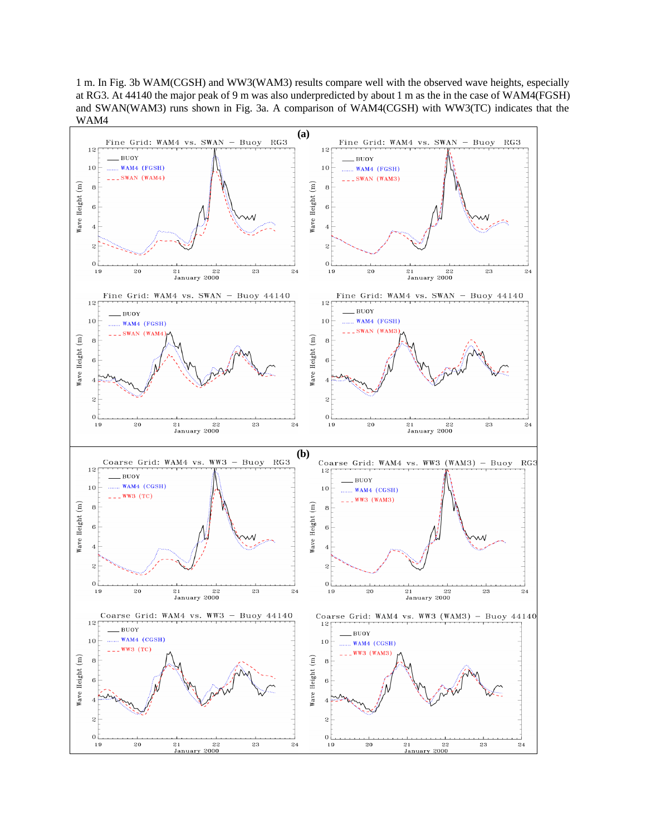1 m. In Fig. 3b WAM(CGSH) and WW3(WAM3) results compare well with the observed wave heights, especially at RG3. At 44140 the major peak of 9 m was also underpredicted by about 1 m as the in the case of WAM4(FGSH) and SWAN(WAM3) runs shown in Fig. 3a. A comparison of WAM4(CGSH) with WW3(TC) indicates that the WAM4

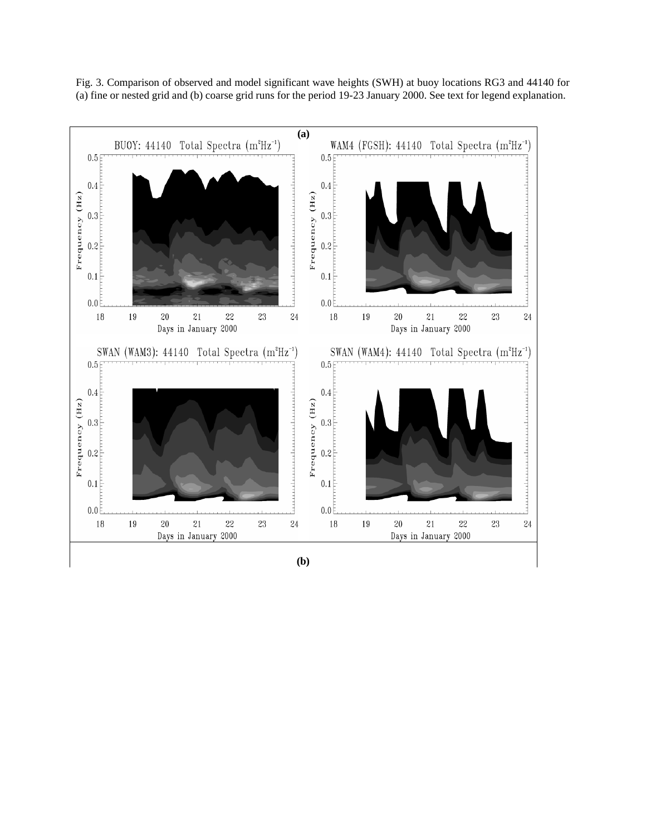Fig. 3. Comparison of observed and model significant wave heights (SWH) at buoy locations RG3 and 44140 for (a) fine or nested grid and (b) coarse grid runs for the period 19-23 January 2000. See text for legend explanation.



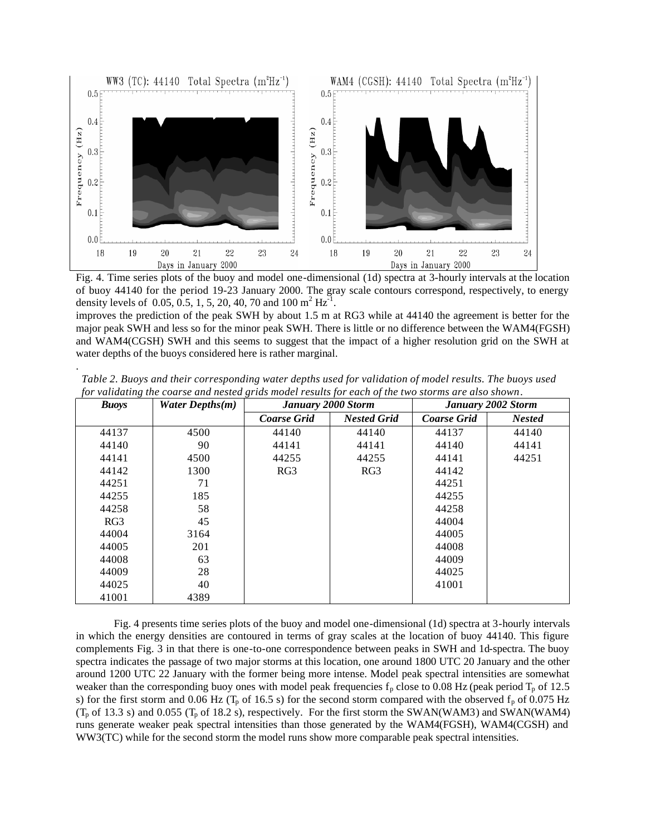

Fig. 4. Time series plots of the buoy and model one-dimensional (1d) spectra at 3-hourly intervals at the location of buoy 44140 for the period 19-23 January 2000. The gray scale contours correspond, respectively, to energy density levels of 0.05, 0.5, 1, 5, 20, 40, 70 and 100 m<sup>2</sup> Hz<sup>-1</sup>.

improves the prediction of the peak SWH by about 1.5 m at RG3 while at 44140 the agreement is better for the major peak SWH and less so for the minor peak SWH. There is little or no difference between the WAM4(FGSH) and WAM4(CGSH) SWH and this seems to suggest that the impact of a higher resolution grid on the SWH at water depths of the buoys considered here is rather marginal.

| <b>Buoys</b> | Water Depths $(m)$ | <b>January 2000 Storm</b> |                    | January 2002 Storm |               |
|--------------|--------------------|---------------------------|--------------------|--------------------|---------------|
|              |                    | <b>Coarse Grid</b>        | <b>Nested Grid</b> | <b>Coarse Grid</b> | <b>Nested</b> |
| 44137        | 4500               | 44140                     | 44140              | 44137              | 44140         |
| 44140        | 90                 | 44141                     | 44141              | 44140              | 44141         |
| 44141        | 4500               | 44255                     | 44255              | 44141              | 44251         |
| 44142        | 1300               | RG3                       | RG3                | 44142              |               |
| 44251        | 71                 |                           |                    | 44251              |               |
| 44255        | 185                |                           |                    | 44255              |               |
| 44258        | 58                 |                           |                    | 44258              |               |
| RG3          | 45                 |                           |                    | 44004              |               |
| 44004        | 3164               |                           |                    | 44005              |               |
| 44005        | 201                |                           |                    | 44008              |               |
| 44008        | 63                 |                           |                    | 44009              |               |
| 44009        | 28                 |                           |                    | 44025              |               |
| 44025        | 40                 |                           |                    | 41001              |               |
| 41001        | 4389               |                           |                    |                    |               |

*Table 2. Buoys and their corresponding water depths used for validation of model results. The buoys used for validating the coarse and nested grids model results for each of the two storms are also shown*.

.

Fig. 4 presents time series plots of the buoy and model one-dimensional (1d) spectra at 3-hourly intervals in which the energy densities are contoured in terms of gray scales at the location of buoy 44140. This figure complements Fig. 3 in that there is one-to-one correspondence between peaks in SWH and 1d-spectra. The buoy spectra indicates the passage of two major storms at this location, one around 1800 UTC 20 January and the other around 1200 UTC 22 January with the former being more intense. Model peak spectral intensities are somewhat weaker than the corresponding buoy ones with model peak frequencies  $f<sub>p</sub>$  close to 0.08 Hz (peak period  $T<sub>p</sub>$  of 12.5 s) for the first storm and 0.06 Hz ( $T_p$  of 16.5 s) for the second storm compared with the observed  $f_p$  of 0.075 Hz  $(T_p$  of 13.3 s) and 0.055  $(T_p$  of 18.2 s), respectively. For the first storm the SWAN(WAM3) and SWAN(WAM4) runs generate weaker peak spectral intensities than those generated by the WAM4(FGSH), WAM4(CGSH) and WW3(TC) while for the second storm the model runs show more comparable peak spectral intensities.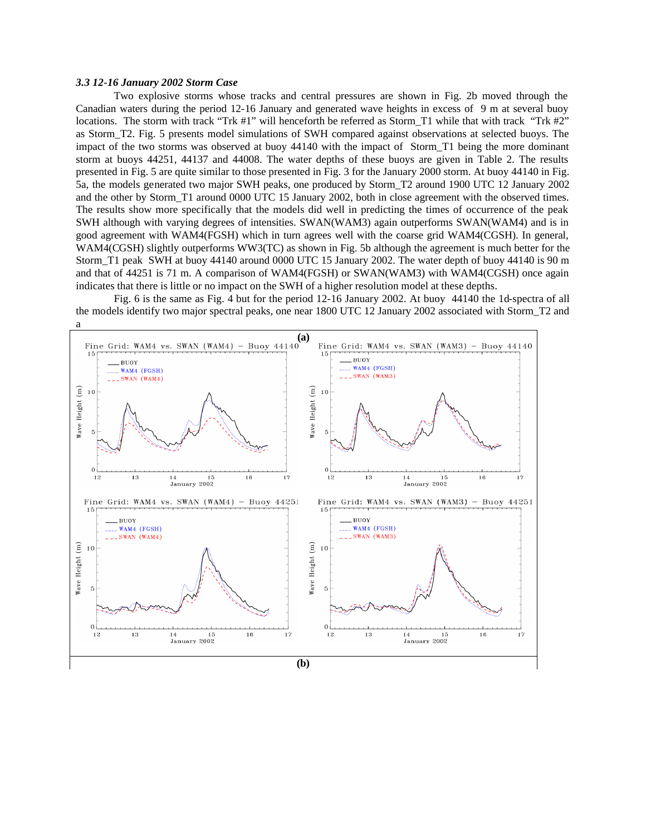#### *3.3 12-16 January 2002 Storm Case*

Two explosive storms whose tracks and central pressures are shown in Fig. 2b moved through the Canadian waters during the period 12-16 January and generated wave heights in excess of 9 m at several buoy locations. The storm with track "Trk #1" will henceforth be referred as Storm\_T1 while that with track "Trk #2" as Storm\_T2. Fig. 5 presents model simulations of SWH compared against observations at selected buoys. The impact of the two storms was observed at buoy 44140 with the impact of Storm\_T1 being the more dominant storm at buoys 44251, 44137 and 44008. The water depths of these buoys are given in Table 2. The results presented in Fig. 5 are quite similar to those presented in Fig. 3 for the January 2000 storm. At buoy 44140 in Fig. 5a, the models generated two major SWH peaks, one produced by Storm\_T2 around 1900 UTC 12 January 2002 and the other by Storm\_T1 around 0000 UTC 15 January 2002, both in close agreement with the observed times. The results show more specifically that the models did well in predicting the times of occurrence of the peak SWH although with varying degrees of intensities. SWAN(WAM3) again outperforms SWAN(WAM4) and is in good agreement with WAM4(FGSH) which in turn agrees well with the coarse grid WAM4(CGSH). In general, WAM4(CGSH) slightly outperforms WW3(TC) as shown in Fig. 5b although the agreement is much better for the Storm\_T1 peak SWH at buoy 44140 around 0000 UTC 15 January 2002. The water depth of buoy 44140 is 90 m and that of 44251 is 71 m. A comparison of WAM4(FGSH) or SWAN(WAM3) with WAM4(CGSH) once again indicates that there is little or no impact on the SWH of a higher resolution model at these depths.

Fig. 6 is the same as Fig. 4 but for the period 12-16 January 2002. At buoy 44140 the 1d-spectra of all the models identify two major spectral peaks, one near 1800 UTC 12 January 2002 associated with Storm\_T2 and

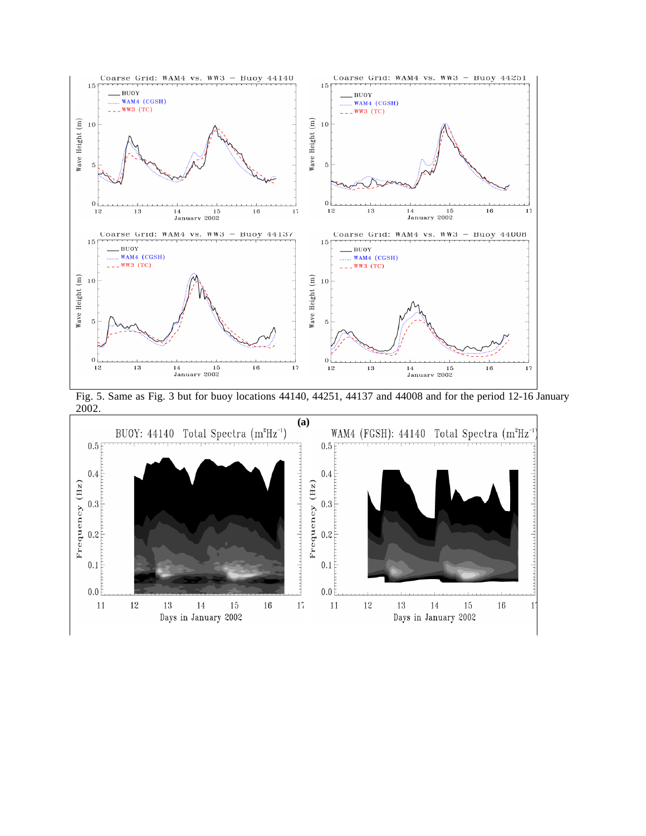

Fig. 5. Same as Fig. 3 but for buoy locations 44140, 44251, 44137 and 44008 and for the period 12-16 January 2002.

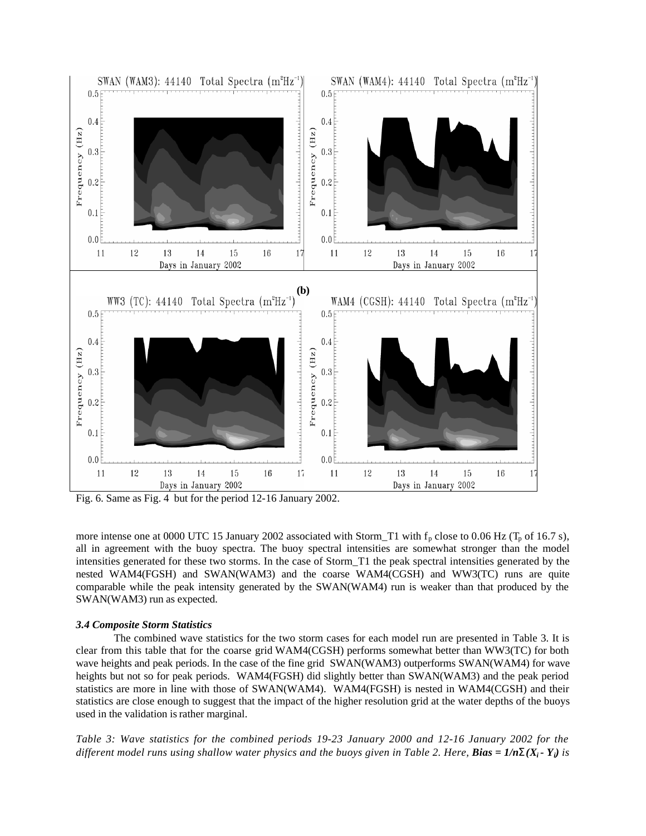

Fig. 6. Same as Fig. 4 but for the period 12-16 January 2002.

more intense one at 0000 UTC 15 January 2002 associated with Storm\_T1 with  $f_p$  close to 0.06 Hz (T<sub>p</sub> of 16.7 s), all in agreement with the buoy spectra. The buoy spectral intensities are somewhat stronger than the model intensities generated for these two storms. In the case of Storm\_T1 the peak spectral intensities generated by the nested WAM4(FGSH) and SWAN(WAM3) and the coarse WAM4(CGSH) and WW3(TC) runs are quite comparable while the peak intensity generated by the SWAN(WAM4) run is weaker than that produced by the SWAN(WAM3) run as expected.

### *3.4 Composite Storm Statistics*

The combined wave statistics for the two storm cases for each model run are presented in Table 3. It is clear from this table that for the coarse grid WAM4(CGSH) performs somewhat better than WW3(TC) for both wave heights and peak periods. In the case of the fine grid SWAN(WAM3) outperforms SWAN(WAM4) for wave heights but not so for peak periods. WAM4(FGSH) did slightly better than SWAN(WAM3) and the peak period statistics are more in line with those of SWAN(WAM4). WAM4(FGSH) is nested in WAM4(CGSH) and their statistics are close enough to suggest that the impact of the higher resolution grid at the water depths of the buoys used in the validation is rather marginal.

*Table 3: Wave statistics for the combined periods 19-23 January 2000 and 12-16 January 2002 for the different model runs using shallow water physics and the buoys given in Table 2. Here, <i>Bias* =  $1/nS(X_i - Y_i)$  is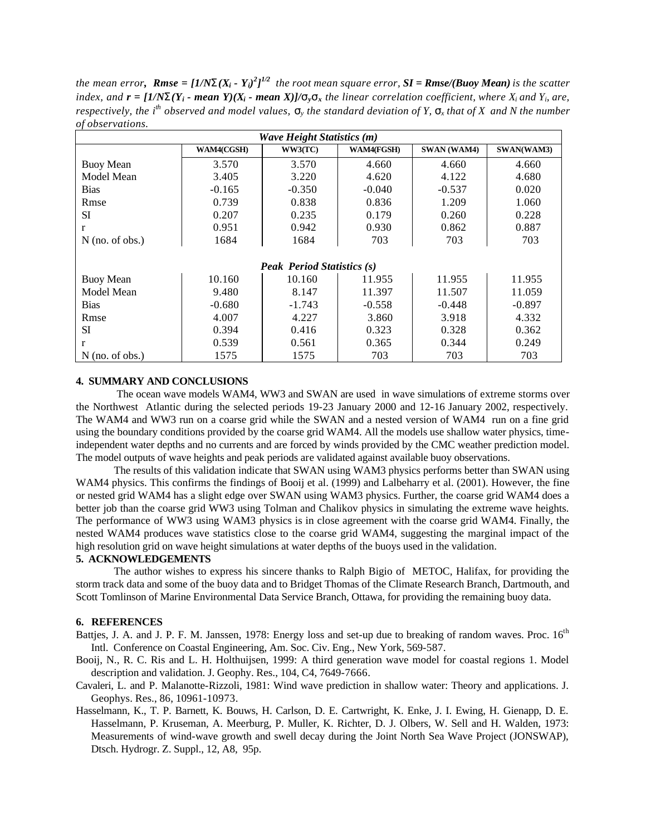*the mean error, Rmse =*  $[I/NS(X_i - Y_i)^2]^{1/2}$  *the root mean square error, SI = Rmse/(Buoy Mean) is the scatter* index, and  $\mathbf{r} = [1/\mathbf{NS}(Y_i - \mathbf{mean}\ Y)(X_i - \mathbf{mean}\ X)]/\mathbf{s}_v\mathbf{s}_x$  the linear correlation coefficient, where  $X_i$  and  $Y_i$ , are, *respectively, the i*<sup>th</sup> observed and model values,  $S$ <sup>*y*</sup> the standard deviation of Y,  $S$ <sup>*x*</sup> that of X and N the number *of observations.*

| <b>Wave Height Statistics (m)</b> |            |          |                   |             |            |  |  |  |
|-----------------------------------|------------|----------|-------------------|-------------|------------|--|--|--|
|                                   | WAM4(CGSH) | WW3(TC)  | <b>WAM4(FGSH)</b> | SWAN (WAM4) | SWAN(WAM3) |  |  |  |
| <b>Buoy Mean</b>                  | 3.570      | 3.570    | 4.660             | 4.660       | 4.660      |  |  |  |
| Model Mean                        | 3.405      | 3.220    | 4.620             | 4.122       | 4.680      |  |  |  |
| <b>Bias</b>                       | $-0.165$   | $-0.350$ | $-0.040$          | $-0.537$    | 0.020      |  |  |  |
| Rmse                              | 0.739      | 0.838    | 0.836             | 1.209       | 1.060      |  |  |  |
| SI                                | 0.207      | 0.235    | 0.179             | 0.260       | 0.228      |  |  |  |
| r                                 | 0.951      | 0.942    | 0.930             | 0.862       | 0.887      |  |  |  |
| $N$ (no. of obs.)                 | 1684       | 1684     | 703               | 703         | 703        |  |  |  |
|                                   |            |          |                   |             |            |  |  |  |
| <b>Peak Period Statistics (s)</b> |            |          |                   |             |            |  |  |  |
| <b>Buoy Mean</b>                  | 10.160     | 10.160   | 11.955            | 11.955      | 11.955     |  |  |  |
| Model Mean                        | 9.480      | 8.147    | 11.397            | 11.507      | 11.059     |  |  |  |
| <b>Bias</b>                       | $-0.680$   | $-1.743$ | $-0.558$          | $-0.448$    | $-0.897$   |  |  |  |
| Rmse                              | 4.007      | 4.227    | 3.860             | 3.918       | 4.332      |  |  |  |
| <b>SI</b>                         | 0.394      | 0.416    | 0.323             | 0.328       | 0.362      |  |  |  |
| r                                 | 0.539      | 0.561    | 0.365             | 0.344       | 0.249      |  |  |  |
| $N$ (no. of obs.)                 | 1575       | 1575     | 703               | 703         | 703        |  |  |  |

### **4. SUMMARY AND CONCLUSIONS**

 The ocean wave models WAM4, WW3 and SWAN are used in wave simulations of extreme storms over the Northwest Atlantic during the selected periods 19-23 January 2000 and 12-16 January 2002, respectively. The WAM4 and WW3 run on a coarse grid while the SWAN and a nested version of WAM4 run on a fine grid using the boundary conditions provided by the coarse grid WAM4. All the models use shallow water physics, timeindependent water depths and no currents and are forced by winds provided by the CMC weather prediction model. The model outputs of wave heights and peak periods are validated against available buoy observations.

The results of this validation indicate that SWAN using WAM3 physics performs better than SWAN using WAM4 physics. This confirms the findings of Booij et al. (1999) and Lalbeharry et al. (2001). However, the fine or nested grid WAM4 has a slight edge over SWAN using WAM3 physics. Further, the coarse grid WAM4 does a better job than the coarse grid WW3 using Tolman and Chalikov physics in simulating the extreme wave heights. The performance of WW3 using WAM3 physics is in close agreement with the coarse grid WAM4. Finally, the nested WAM4 produces wave statistics close to the coarse grid WAM4, suggesting the marginal impact of the high resolution grid on wave height simulations at water depths of the buoys used in the validation.

# **5. ACKNOWLEDGEMENTS**

The author wishes to express his sincere thanks to Ralph Bigio of METOC, Halifax, for providing the storm track data and some of the buoy data and to Bridget Thomas of the Climate Research Branch, Dartmouth, and Scott Tomlinson of Marine Environmental Data Service Branch, Ottawa, for providing the remaining buoy data.

## **6. REFERENCES**

- Battjes, J. A. and J. P. F. M. Janssen, 1978: Energy loss and set-up due to breaking of random waves. Proc. 16<sup>th</sup> Intl. Conference on Coastal Engineering, Am. Soc. Civ. Eng., New York, 569-587.
- Booij, N., R. C. Ris and L. H. Holthuijsen, 1999: A third generation wave model for coastal regions 1. Model description and validation. J. Geophy. Res., 104, C4, 7649-7666.
- Cavaleri, L. and P. Malanotte-Rizzoli, 1981: Wind wave prediction in shallow water: Theory and applications. J. Geophys. Res., 86, 10961-10973.
- Hasselmann, K., T. P. Barnett, K. Bouws, H. Carlson, D. E. Cartwright, K. Enke, J. I. Ewing, H. Gienapp, D. E. Hasselmann, P. Kruseman, A. Meerburg, P. Muller, K. Richter, D. J. Olbers, W. Sell and H. Walden, 1973: Measurements of wind-wave growth and swell decay during the Joint North Sea Wave Project (JONSWAP), Dtsch. Hydrogr. Z. Suppl., 12, A8, 95p.